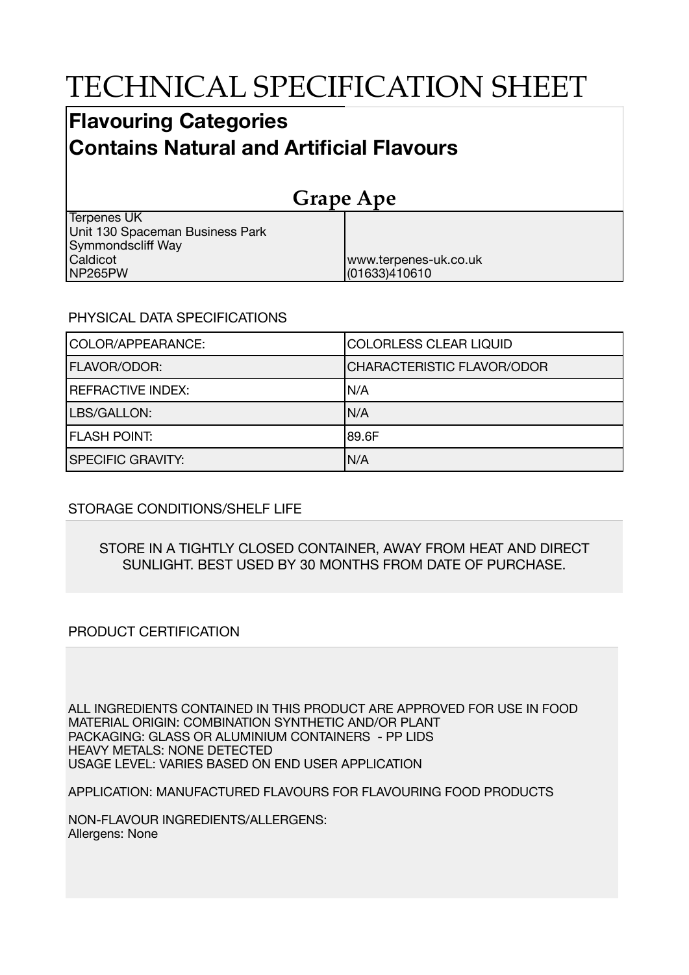# TECHNICAL SPECIFICATION SHEET

# **Flavouring Categories Contains Natural and Artificial Flavours**

| <b>Grape Ape</b>                |                       |  |
|---------------------------------|-----------------------|--|
| Terpenes UK                     |                       |  |
| Unit 130 Spaceman Business Park |                       |  |
| Symmondscliff Way               |                       |  |
| Caldicot                        | www.terpenes-uk.co.uk |  |
| INP265PW                        | (01633)410610         |  |

#### PHYSICAL DATA SPECIFICATIONS

| COLOR/APPEARANCE:        | COLORLESS CLEAR LIQUID     |
|--------------------------|----------------------------|
| <b>FLAVOR/ODOR:</b>      | CHARACTERISTIC FLAVOR/ODOR |
| <b>REFRACTIVE INDEX:</b> | IN/A                       |
| LBS/GALLON:              | IN/A                       |
| <b>FLASH POINT:</b>      | 189.6F                     |
| <b>SPECIFIC GRAVITY:</b> | N/A                        |

## STORAGE CONDITIONS/SHELF LIFE

#### STORE IN A TIGHTLY CLOSED CONTAINER, AWAY FROM HEAT AND DIRECT SUNLIGHT. BEST USED BY 30 MONTHS FROM DATE OF PURCHASE.

## PRODUCT CERTIFICATION

ALL INGREDIENTS CONTAINED IN THIS PRODUCT ARE APPROVED FOR USE IN FOOD MATERIAL ORIGIN: COMBINATION SYNTHETIC AND/OR PLANT PACKAGING: GLASS OR ALUMINIUM CONTAINERS - PP LIDS HEAVY METALS: NONE DETECTED USAGE LEVEL: VARIES BASED ON END USER APPLICATION

APPLICATION: MANUFACTURED FLAVOURS FOR FLAVOURING FOOD PRODUCTS

NON-FLAVOUR INGREDIENTS/ALLERGENS: Allergens: None